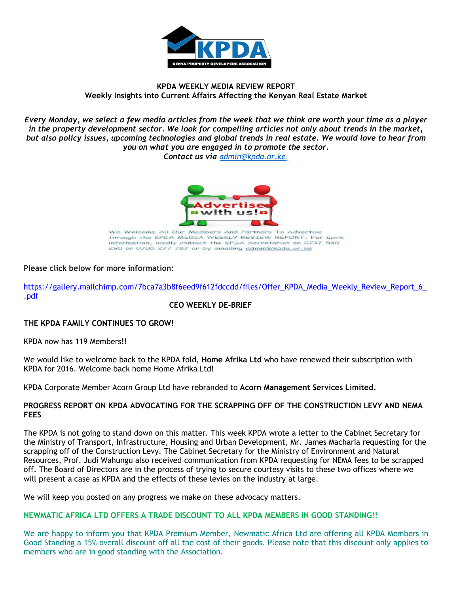

# **KPDA WEEKLY MEDIA REVIEW REPORT Weekly Insights into Current Affairs Affecting the Kenyan Real Estate Market**

*Every Monday, we select a few media articles from the week that we think are worth your time as a player in the property development sector. We look for compelling articles not only about trends in the market, but also policy issues, upcoming technologies and global trends in real estate. We would love to hear from you on what you are engaged in to promote the sector. Contact us via [admin@kpda.or](mailto:admin@kpda.or.ke).ke.* 



We Welcome All Our Members And Partners To Advertise through the KPDA MEDIA WEEKLY REVIEW REPORT. For more information, kindly contact the KPDA Secretariat on 0737 530<br>290 or 0705 277 787 or by emailing admin@kpda.or.ke

# **Please click below for more information:**

[https://gallery.mailchimp.com/7bca7a3b8f6eed9f612fdccdd/files/Offer\\_KPDA\\_Media\\_Weekly\\_Review\\_Report\\_6\\_](https://gallery.mailchimp.com/7bca7a3b8f6eed9f612fdccdd/files/Offer_KPDA_Media_Weekly_Review_Report_6_.pdf) [.pdf](https://gallery.mailchimp.com/7bca7a3b8f6eed9f612fdccdd/files/Offer_KPDA_Media_Weekly_Review_Report_6_.pdf)

# **CEO WEEKLY DE-BRIEF**

# **THE KPDA FAMILY CONTINUES TO GROW!**

KPDA now has 119 Members**!!**

We would like to welcome back to the KPDA fold, **Home Afrika Ltd** who have renewed their subscription with KPDA for 2016. Welcome back home Home Afrika Ltd!

KPDA Corporate Member Acorn Group Ltd have rebranded to **Acorn Management Services Limited.**

### **PROGRESS REPORT ON KPDA ADVOCATING FOR THE SCRAPPING OFF OF THE CONSTRUCTION LEVY AND NEMA FEES**

The KPDA is not going to stand down on this matter. This week KPDA wrote a letter to the Cabinet Secretary for the Ministry of Transport, Infrastructure, Housing and Urban Development, Mr. James Macharia requesting for the scrapping off of the Construction Levy. The Cabinet Secretary for the Ministry of Environment and Natural Resources, Prof. Judi Wahungu also received communication from KPDA requesting for NEMA fees to be scrapped off. The Board of Directors are in the process of trying to secure courtesy visits to these two offices where we will present a case as KPDA and the effects of these levies on the industry at large.

We will keep you posted on any progress we make on these advocacy matters.

# **NEWMATIC AFRICA LTD OFFERS A TRADE DISCOUNT TO ALL KPDA MEMBERS IN GOOD STANDING!!**

We are happy to inform you that KPDA Premium Member, Newmatic Africa Ltd are offering all KPDA Members in Good Standing a 15% overall discount off all the cost of their goods. Please note that this discount only applies to members who are in good standing with the Association.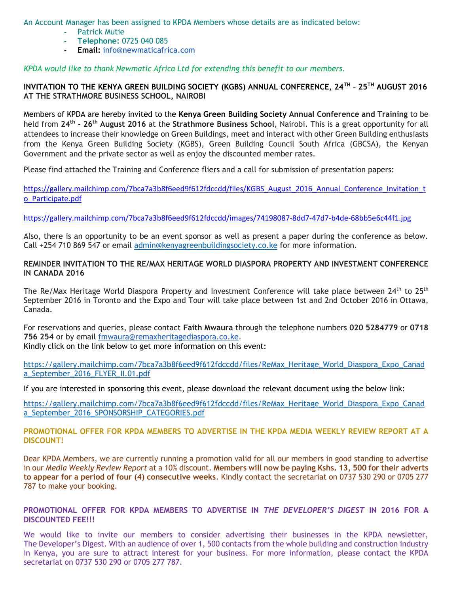An Account Manager has been assigned to KPDA Members whose details are as indicated below:

- **-** Patrick Mutie
- **- Telephone:** 0725 040 085
- **- Email:** [info@newmaticafrica.com](mailto:info@newmaticafrica.com)

*KPDA would like to thank Newmatic Africa Ltd for extending this benefit to our members.*

# **INVITATION TO THE KENYA GREEN BUILDING SOCIETY (KGBS) ANNUAL CONFERENCE, 24TH – 25TH AUGUST 2016 AT THE STRATHMORE BUSINESS SCHOOL, NAIROBI**

Members of KPDA are hereby invited to the **Kenya Green Building Society Annual Conference and Training** to be held from **24th - 26th August 2016** at the **Strathmore Business School**, Nairobi. This is a great opportunity for all attendees to increase their knowledge on Green Buildings, meet and interact with other Green Building enthusiasts from the Kenya Green Building Society (KGBS), Green Building Council South Africa (GBCSA), the Kenyan Government and the private sector as well as enjoy the discounted member rates.

Please find attached the Training and Conference fliers and a call for submission of presentation papers:

[https://gallery.mailchimp.com/7bca7a3b8f6eed9f612fdccdd/files/KGBS\\_August\\_2016\\_Annual\\_Conference\\_Invitation\\_t](https://gallery.mailchimp.com/7bca7a3b8f6eed9f612fdccdd/images/74198087-8dd7-47d7-b4de-68bb5e6c44f1.jpg) [o\\_Participate.pdf](https://gallery.mailchimp.com/7bca7a3b8f6eed9f612fdccdd/images/74198087-8dd7-47d7-b4de-68bb5e6c44f1.jpg)

<https://gallery.mailchimp.com/7bca7a3b8f6eed9f612fdccdd/images/74198087-8dd7-47d7-b4de-68bb5e6c44f1.jpg>

Also, there is an opportunity to be an event sponsor as well as present a paper during the conference as below. Call +254 710 869 547 or email [admin@kenyagreenbuildingsociety.co.ke](mailto:admin@kenyagreenbuildingsociety.co.ke) for more information.

# **REMINDER INVITATION TO THE RE/MAX HERITAGE WORLD DIASPORA PROPERTY AND INVESTMENT CONFERENCE IN CANADA 2016**

The Re/Max Heritage World Diaspora Property and Investment Conference will take place between 24<sup>th</sup> to 25<sup>th</sup> September 2016 in Toronto and the Expo and Tour will take place between 1st and 2nd October 2016 in Ottawa, Canada.

For reservations and queries, please contact **Faith Mwaura** through the telephone numbers **020 5284779** or **0718 756 254** or by email [fmwaura@remaxheritagediaspora.co.ke.](mailto:fmwaura@remaxheritagediaspora.co.ke) Kindly click on the link below to get more information on this event:

[https://gallery.mailchimp.com/7bca7a3b8f6eed9f612fdccdd/files/ReMax\\_Heritage\\_World\\_Diaspora\\_Expo\\_Canad](https://gallery.mailchimp.com/7bca7a3b8f6eed9f612fdccdd/files/ReMax_Heritage_World_Diaspora_Expo_Canada_September_2016_FLYER_II.01.pdf) [a\\_September\\_2016\\_FLYER\\_II.01.pdf](https://gallery.mailchimp.com/7bca7a3b8f6eed9f612fdccdd/files/ReMax_Heritage_World_Diaspora_Expo_Canada_September_2016_FLYER_II.01.pdf)

If you are interested in sponsoring this event, please download the relevant document using the below link:

[https://gallery.mailchimp.com/7bca7a3b8f6eed9f612fdccdd/files/ReMax\\_Heritage\\_World\\_Diaspora\\_Expo\\_Canad](https://gallery.mailchimp.com/7bca7a3b8f6eed9f612fdccdd/files/ReMax_Heritage_World_Diaspora_Expo_Canada_September_2016_SPONSORSHIP_CATEGORIES.pdf) [a\\_September\\_2016\\_SPONSORSHIP\\_CATEGORIES.pdf](https://gallery.mailchimp.com/7bca7a3b8f6eed9f612fdccdd/files/ReMax_Heritage_World_Diaspora_Expo_Canada_September_2016_SPONSORSHIP_CATEGORIES.pdf)

**PROMOTIONAL OFFER FOR KPDA MEMBERS TO ADVERTISE IN THE KPDA MEDIA WEEKLY REVIEW REPORT AT A DISCOUNT!**

Dear KPDA Members, we are currently running a promotion valid for all our members in good standing to advertise in our *Media Weekly Review Report* at a 10% discount. **Members will now be paying Kshs. 13, 500 for their adverts to appear for a period of four (4) consecutive weeks**. Kindly contact the secretariat on 0737 530 290 or 0705 277 787 to make your booking.

# **PROMOTIONAL OFFER FOR KPDA MEMBERS TO ADVERTISE IN** *THE DEVELOPER'S DIGEST* **IN 2016 FOR A DISCOUNTED FEE!!!**

We would like to invite our members to consider advertising their businesses in the KPDA newsletter, The Developer's Digest. With an audience of over 1, 500 contacts from the whole building and construction industry in Kenya, you are sure to attract interest for your business. For more information, please contact the KPDA secretariat on 0737 530 290 or 0705 277 787.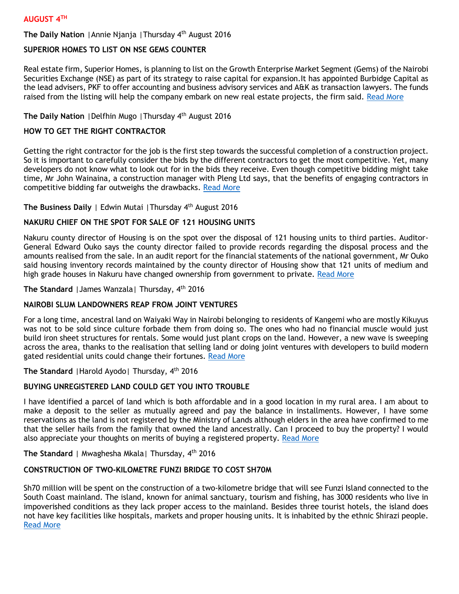# **AUGUST 4TH**

### **The Daily Nation** |Annie Njanja |Thursday 4th August 2016

# **SUPERIOR HOMES TO LIST ON NSE GEMS COUNTER**

Real estate firm, Superior Homes, is planning to list on the Growth Enterprise Market Segment (Gems) of the Nairobi Securities Exchange (NSE) as part of its strategy to raise capital for expansion.It has appointed Burbidge Capital as the lead advisers, PKF to offer accounting and business advisory services and A&K as transaction lawyers. The funds raised from the listing will help the company embark on new real estate projects, the firm said. [Read More](http://www.nation.co.ke/business/Superior-Homes-to-list-on-NSE-Gems-counter/996-3330082-14ivxck/index.html)

# **The Daily Nation** |Delfhin Mugo |Thursday 4th August 2016

### **HOW TO GET THE RIGHT CONTRACTOR**

Getting the right contractor for the job is the first step towards the successful completion of a construction project. So it is important to carefully consider the bids by the different contractors to get the most competitive. Yet, many developers do not know what to look out for in the bids they receive. Even though competitive bidding might take time, Mr John Wainaina, a construction manager with Pleng Ltd says, that the benefits of engaging contractors in competitive bidding far outweighs the drawbacks. [Read More](http://www.nation.co.ke/lifestyle/DN2/How-to-get-the-right-contractor/957860-3329708-mhfqubz/index.html)

# **The Business Daily** | Edwin Mutai |Thursday 4th August 2016

# **NAKURU CHIEF ON THE SPOT FOR SALE OF 121 HOUSING UNITS**

Nakuru county director of Housing is on the spot over the disposal of 121 housing units to third parties. Auditor-General Edward Ouko says the county director failed to provide records regarding the disposal process and the amounts realised from the sale. In an audit report for the financial statements of the national government, Mr Ouko said housing inventory records maintained by the county director of Housing show that 121 units of medium and high grade houses in Nakuru have changed ownership from government to private. [Read More](http://www.businessdailyafrica.com/Corporate-News/Nakuru-chief-on-the-spot-for-sale-of-121-housing-units/539550-3331392-a2fa84z/index.html)

**The Standard** |James Wanzala| Thursday, 4th 2016

# **NAIROBI SLUM LANDOWNERS REAP FROM JOINT VENTURES**

For a long time, ancestral land on Waiyaki Way in Nairobi belonging to residents of Kangemi who are mostly Kikuyus was not to be sold since culture forbade them from doing so. The ones who had no financial muscle would just build iron sheet structures for rentals. Some would just plant crops on the land. However, a new wave is sweeping across the area, thanks to the realisation that selling land or doing joint ventures with developers to build modern gated residential units could change their fortunes. [Read More](http://www.standardmedia.co.ke/lifestyle/article/2000210779/nairobi-slum-landowners-reap-from-joint-ventures)

**The Standard** |Harold Ayodo| Thursday, 4th 2016

# **BUYING UNREGISTERED LAND COULD GET YOU INTO TROUBLE**

I have identified a parcel of land which is both affordable and in a good location in my rural area. I am about to make a deposit to the seller as mutually agreed and pay the balance in installments. However, I have some reservations as the land is not registered by the Ministry of Lands although elders in the area have confirmed to me that the seller hails from the family that owned the land ancestrally. Can I proceed to buy the property? I would also appreciate your thoughts on merits of buying a registered property. [Read More](http://www.standardmedia.co.ke/lifestyle/article/2000210784/buying-unregistered-land-could-get-you-into-trouble)

### **The Standard** | Mwaghesha Mkala| Thursday, 4th 2016

# **CONSTRUCTION OF TWO-KILOMETRE FUNZI BRIDGE TO COST SH70M**

Sh70 million will be spent on the construction of a two-kilometre bridge that will see Funzi Island connected to the South Coast mainland. The island, known for animal sanctuary, tourism and fishing, has 3000 residents who live in impoverished conditions as they lack proper access to the mainland. Besides three tourist hotels, the island does not have key facilities like hospitals, markets and proper housing units. It is inhabited by the ethnic Shirazi people. [Read More](http://www.standardmedia.co.ke/lifestyle/article/2000210770/construction-of-two-kilometre-funzi-bridge-to-cost-sh70m)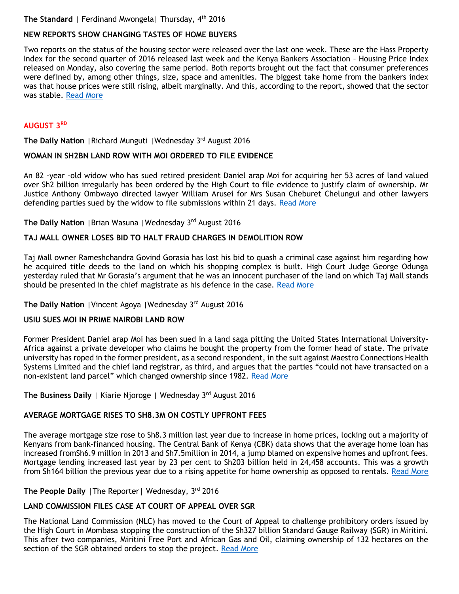# **The Standard** | Ferdinand Mwongela | Thursday, 4<sup>th</sup> 2016

# **NEW REPORTS SHOW CHANGING TASTES OF HOME BUYERS**

Two reports on the status of the housing sector were released over the last one week. These are the Hass Property Index for the second quarter of 2016 released last week and the Kenya Bankers Association – Housing Price Index released on Monday, also covering the same period. Both reports brought out the fact that consumer preferences were defined by, among other things, size, space and amenities. The biggest take home from the bankers index was that house prices were still rising, albeit marginally. And this, according to the report, showed that the sector was stable. [Read More](http://www.standardmedia.co.ke/lifestyle/article/2000210768/new-reports-show-changing-tastes-of-home-buyers)

# **AUGUST 3RD**

**The Daily Nation** |Richard Munguti |Wednesday 3rd August 2016

# **WOMAN IN SH2BN LAND ROW WITH MOI ORDERED TO FILE EVIDENCE**

An 82 -year -old widow who has sued retired president Daniel arap Moi for acquiring her 53 acres of land valued over Sh2 billion irregularly has been ordered by the High Court to file evidence to justify claim of ownership. Mr Justice Anthony Ombwayo directed lawyer William Arusei for Mrs Susan Cheburet Chelungui and other lawyers defending parties sued by the widow to file submissions within 21 days. [Read More](http://www.nation.co.ke/counties/nairobi/Woman-in-Sh2bn-land-row-with-Moi-ordered-to-file-evidence/1954174-3329354-10en6mmz/index.html)

**The Daily Nation | Brian Wasuna | Wednesday 3rd August 2016** 

### **TAJ MALL OWNER LOSES BID TO HALT FRAUD CHARGES IN DEMOLITION ROW**

Taj Mall owner Rameshchandra Govind Gorasia has lost his bid to quash a criminal case against him regarding how he acquired title deeds to the land on which his shopping complex is built. High Court Judge George Odunga yesterday ruled that Mr Gorasia's argument that he was an innocent purchaser of the land on which Taj Mall stands should be presented in the chief magistrate as his defence in the case. [Read More](http://www.nation.co.ke/business/Taj-Mall-owner-loses-bid-to-halt-fraud-charges/996-3328502-hdkfpjz/index.html)

# **The Daily Nation | Vincent Agoya | Wednesday 3rd August 2016**

#### **USIU SUES MOI IN PRIME NAIROBI LAND ROW**

Former President Daniel arap Moi has been sued in a land saga pitting the United States International University-Africa against a private developer who claims he bought the property from the former head of state. The private university has roped in the former president, as a second respondent, in the suit against Maestro Connections Health Systems Limited and the chief land registrar, as third, and argues that the parties "could not have transacted on a non-existent land parcel" which changed ownership since 1982. [Read More](http://www.nation.co.ke/business/USIU-sues-Moi-in-prime-Nairobi-land-row/996-3328496-p6xy2o/index.html)

**The Business Daily** | Kiarie Njoroge | Wednesday 3<sup>rd</sup> August 2016

# **AVERAGE MORTGAGE RISES TO SH8.3M ON COSTLY UPFRONT FEES**

The average mortgage size rose to Sh8.3 million last year due to increase in home prices, locking out a majority of Kenyans from bank-financed housing. The Central Bank of Kenya (CBK) data shows that the average home loan has increased fromSh6.9 million in 2013 and Sh7.5million in 2014, a jump blamed on expensive homes and upfront fees. Mortgage lending increased last year by 23 per cent to Sh203 billion held in 24,458 accounts. This was a growth from Sh164 billion the previous year due to a rising appetite for home ownership as opposed to rentals. [Read More](http://www.businessdailyafrica.com/Average-mortgage-rises-to-Sh8-3m-on-costly-upfront-fees/539546-3329636-65dj29z/index.html)

**The People Daily |**The Reporter**|** Wednesday, 3rd 2016

# **LAND COMMISSION FILES CASE AT COURT OF APPEAL OVER SGR**

The National Land Commission (NLC) has moved to the Court of Appeal to challenge prohibitory orders issued by the High Court in Mombasa stopping the construction of the Sh327 billion Standard Gauge Railway (SGR) in Miritini. This after two companies, Miritini Free Port and African Gas and Oil, claiming ownership of 132 hectares on the section of the SGR obtained orders to stop the project. [Read More](http://www.mediamaxnetwork.co.ke/business/240367/land-commission-files-case-at-court-of-appeal-over-sgr/)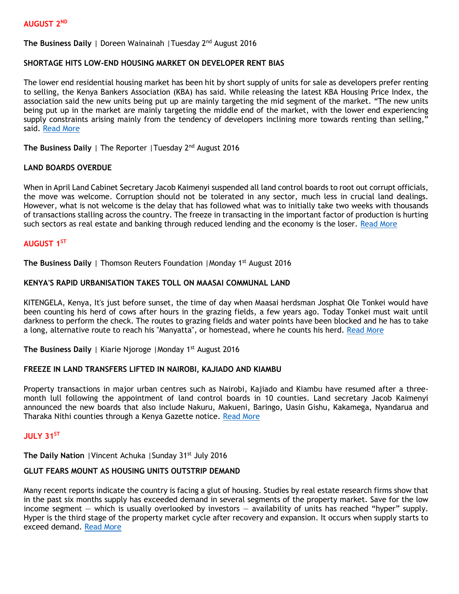#### **AUGUST 2ND**

# **The Business Daily** | Doreen Wainainah |Tuesday 2nd August 2016

#### **SHORTAGE HITS LOW-END HOUSING MARKET ON DEVELOPER RENT BIAS**

The lower end residential housing market has been hit by short supply of units for sale as developers prefer renting to selling, the Kenya Bankers Association (KBA) has said. While releasing the latest KBA Housing Price Index, the association said the new units being put up are mainly targeting the mid segment of the market. "The new units being put up in the market are mainly targeting the middle end of the market, with the lower end experiencing supply constraints arising mainly from the tendency of developers inclining more towards renting than selling," said. [Read More](http://www.businessdailyafrica.com/Shortage-hits-low-end-housing-market-on-developer-rent-bias/539552-3327686-15gvwbtz/index.html)

The Business Daily | The Reporter | Tuesday 2<sup>nd</sup> August 2016

### **LAND BOARDS OVERDUE**

When in April Land Cabinet Secretary Jacob Kaimenyi suspended all land control boards to root out corrupt officials, the move was welcome. Corruption should not be tolerated in any sector, much less in crucial land dealings. However, what is not welcome is the delay that has followed what was to initially take two weeks with thousands of transactions stalling across the country. The freeze in transacting in the important factor of production is hurting such sectors as real estate and banking through reduced lending and the economy is the loser. [Read More](http://www.businessdailyafrica.com/Opinion-and-Analysis/Land-boards-overdue/539548-3327700-55jfvd/index.html)

# **AUGUST 1ST**

**The Business Daily** | Thomson Reuters Foundation | Monday 1<sup>st</sup> August 2016

### **KENYA'S RAPID URBANISATION TAKES TOLL ON MAASAI COMMUNAL LAND**

KITENGELA, Kenya, It's just before sunset, the time of day when Maasai herdsman Josphat Ole Tonkei would have been counting his herd of cows after hours in the grazing fields, a few years ago. Today Tonkei must wait until darkness to perform the check. The routes to grazing fields and water points have been blocked and he has to take a long, alternative route to reach his "Manyatta", or homestead, where he counts his herd. [Read More](http://www.businessdailyafrica.com/Kenya-rapid-urbanisation-takes-toll-on-Maasai-communal-land/539546-3325654-unu7pnz/index.html)

**The Business Daily** | Kiarie Njoroge | Monday 1<sup>st</sup> August 2016

#### **FREEZE IN LAND TRANSFERS LIFTED IN NAIROBI, KAJIADO AND KIAMBU**

Property transactions in major urban centres such as Nairobi, Kajiado and Kiambu have resumed after a threemonth lull following the appointment of land control boards in 10 counties. Land secretary Jacob Kaimenyi announced the new boards that also include Nakuru, Makueni, Baringo, Uasin Gishu, Kakamega, Nyandarua and Tharaka Nithi counties through a Kenya Gazette notice. [Read More](http://www.businessdailyafrica.com/Freeze-in-land-transfers-lifted-in-Nairobi--Kajiado-and-Kiambu/539546-3326280-12e9cob/index.html)

### **JULY 31ST**

**The Daily Nation | Vincent Achuka | Sunday 31<sup>st</sup> July 2016** 

# **GLUT FEARS MOUNT AS HOUSING UNITS OUTSTRIP DEMAND**

Many recent reports indicate the country is facing a glut of housing. Studies by real estate research firms show that in the past six months supply has exceeded demand in several segments of the property market. Save for the low income segment — which is usually overlooked by investors — availability of units has reached "hyper" supply. Hyper is the third stage of the property market cycle after recovery and expansion. It occurs when supply starts to exceed demand. [Read More](http://www.nation.co.ke/business/Experts-caution-on-housing-glut-as-prices-fall/996-3323544-ns7h49/index.html)